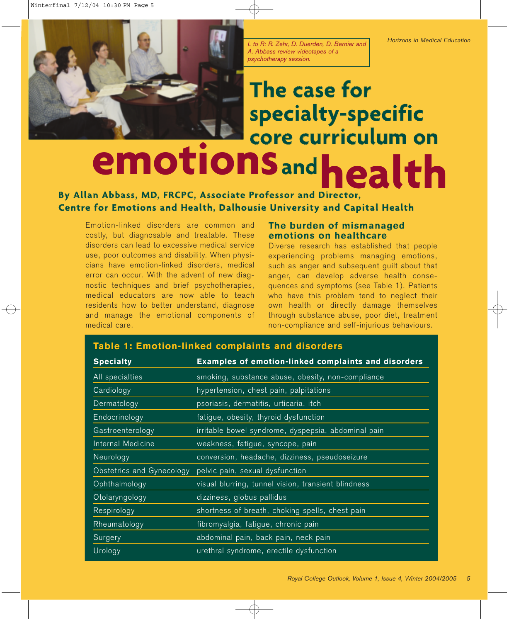*L to R: R. Zehr, D. Duerden, D. Bernier and A. Abbass review videotapes of a psychotherapy session.*

# **The case for specialty-specific** emotions<sub>andhealth</sub>

## **By Allan Abbass, MD, FRCPC, Associate Professor and Director, Centre for Emotions and Health, Dalhousie University and Capital Health**

**Table 1: Emotion-linked complaints and disorders** 

Emotion-linked disorders are common and costly, but diagnosable and treatable. These disorders can lead to excessive medical service use, poor outcomes and disability. When physicians have emotion-linked disorders, medical error can occur. With the advent of new diagnostic techniques and brief psychotherapies, medical educators are now able to teach residents how to better understand, diagnose and manage the emotional components of medical care.

### **The burden of mismanaged emotions on healthcare**

Diverse research has established that people experiencing problems managing emotions, such as anger and subsequent guilt about that anger, can develop adverse health consequences and symptoms (see Table 1). Patients who have this problem tend to neglect their own health or directly damage themselves through substance abuse, poor diet, treatment non-compliance and self-injurious behaviours.

| <b>Specialty</b>          | Examples of emotion-linked complaints and disorders |
|---------------------------|-----------------------------------------------------|
| All specialties           | smoking, substance abuse, obesity, non-compliance   |
| Cardiology                | hypertension, chest pain, palpitations              |
| Dermatology               | psoriasis, dermatitis, urticaria, itch              |
| Endocrinology             | fatigue, obesity, thyroid dysfunction               |
| Gastroenterology          | irritable bowel syndrome, dyspepsia, abdominal pain |
| Internal Medicine         | weakness, fatigue, syncope, pain                    |
| Neurology                 | conversion, headache, dizziness, pseudoseizure      |
| Obstetrics and Gynecology | pelvic pain, sexual dysfunction                     |
| Ophthalmology             | visual blurring, tunnel vision, transient blindness |
| Otolaryngology            | dizziness, globus pallidus                          |
| Respirology               | shortness of breath, choking spells, chest pain     |
| Rheumatology              | fibromyalgia, fatigue, chronic pain                 |
| Surgery                   | abdominal pain, back pain, neck pain                |
| Urology                   | urethral syndrome, erectile dysfunction             |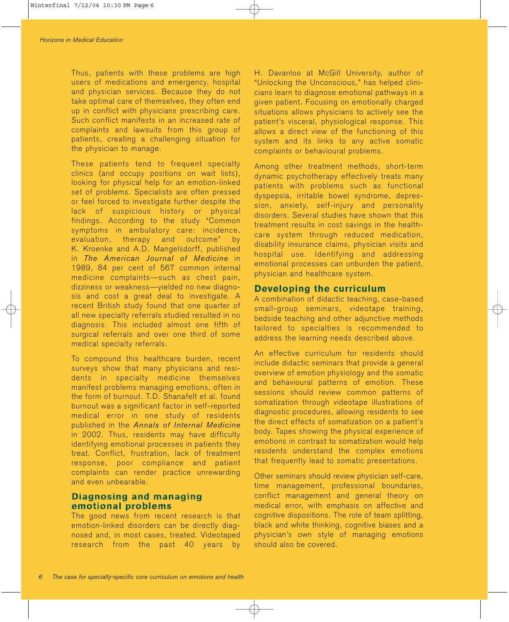Thus, patients with these problems are high users of medications and emergency, hospital and physician services. Because they do not take optimal care of themselves, they often end up in conflict with physicians prescribing care. Such conflict manifests in an increased rate of complaints and lawsuits from this group of patients, creating a challenging situation for the physician to manage.

These patients tend to frequent specialty clinics (and occupy positions on wait lists), looking for physical help for an emotion-linked set of problems. Specialists are often pressed or feel forced to investigate further despite the lack of suspicious history or physical findings. According to the study "Common symptoms in ambulatory care: incidence, evaluation, therapy and outcome" by K. Kroenke and A.D. Mangelsdorff, published in *The American Journal of Medicine* in 1989, 84 per cent of 567 common internal medicine complaints—such as chest pain, dizziness or weakness—yielded no new diagnosis and cost a great deal to investigate. A recent British study found that one quarter of all new specialty referrals studied resulted in no diagnosis. This included almost one fifth of surgical referrals and over one third of some medical specialty referrals.

To compound this healthcare burden, recent surveys show that many physicians and residents in specialty medicine themselves manifest problems managing emotions, often in the form of burnout. T.D. Shanafelt et al. found burnout was a significant factor in self-reported medical error in one study of residents published in the *Annals of Internal Medicine* in 2002. Thus, residents may have difficulty identifying emotional processes in patients they treat. Conflict, frustration, lack of treatment response, poor compliance and patient complaints can render practice unrewarding and even unbearable.

#### **Diagnosing and managing emotional problems**

The good news from recent research is that emotion-linked disorders can be directly diagnosed and, in most cases, treated. Videotaped research from the past 40 years by

H. Davanloo at McGill University, author of "Unlocking the Unconscious," has helped clinicians learn to diagnose emotional pathways in a given patient. Focusing on emotionally charged situations allows physicians to actively see the patient's visceral, physiological response. This allows a direct view of the functioning of this system and its links to any active somatic complaints or behavioural problems.

Among other treatment methods, short-term dynamic psychotherapy effectively treats many patients with problems such as functional dyspepsia, irritable bowel syndrome, depression, anxiety, self-injury and personality disorders. Several studies have shown that this treatment results in cost savings in the healthcare system through reduced medication, disability insurance claims, physician visits and hospital use. Identifying and addressing emotional processes can unburden the patient, physician and healthcare system.

#### **Developing the curriculum**

A combination of didactic teaching, case-based small-group seminars, videotape training, bedside teaching and other adjunctive methods tailored to specialties is recommended to address the learning needs described above.

An effective curriculum for residents should include didactic seminars that provide a general overview of emotion physiology and the somatic and behavioural patterns of emotion. These sessions should review common patterns of somatization through videotape illustrations of diagnostic procedures, allowing residents to see the direct effects of somatization on a patient's body. Tapes showing the physical experience of emotions in contrast to somatization would help residents understand the complex emotions that frequently lead to somatic presentations.

Other seminars should review physician self-care, time management, professional boundaries, conflict management and general theory on medical error, with emphasis on affective and cognitive dispositions. The role of team splitting, black and white thinking, cognitive biases and a physician's own style of managing emotions should also be covered.